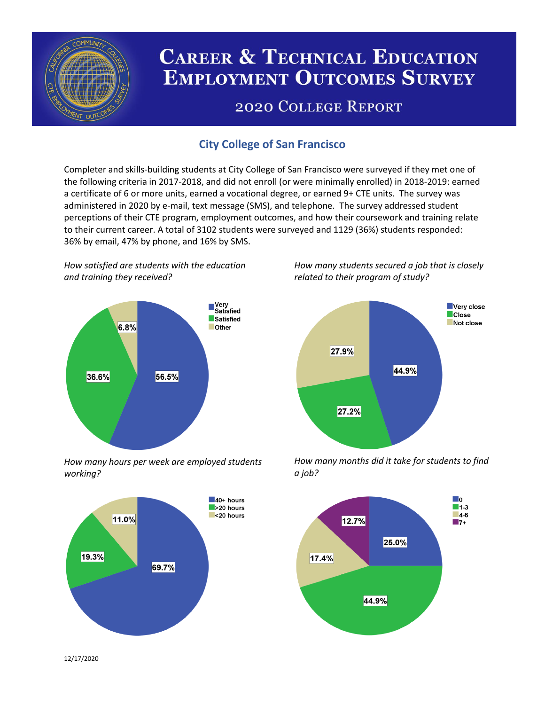

# **CAREER & TECHNICAL EDUCATION EMPLOYMENT OUTCOMES SURVEY**

## **2020 COLLEGE REPORT**

## **City College of San Francisco**

Completer and skills-building students at City College of San Francisco were surveyed if they met one of the following criteria in 2017-2018, and did not enroll (or were minimally enrolled) in 2018-2019: earned a certificate of 6 or more units, earned a vocational degree, or earned 9+ CTE units. The survey was administered in 2020 by e-mail, text message (SMS), and telephone. The survey addressed student perceptions of their CTE program, employment outcomes, and how their coursework and training relate to their current career. A total of 3102 students were surveyed and 1129 (36%) students responded: 36% by email, 47% by phone, and 16% by SMS.

*How satisfied are students with the education and training they received?*



*How many hours per week are employed students working?*



*How many students secured a job that is closely related to their program of study?*



*How many months did it take for students to find a job?*